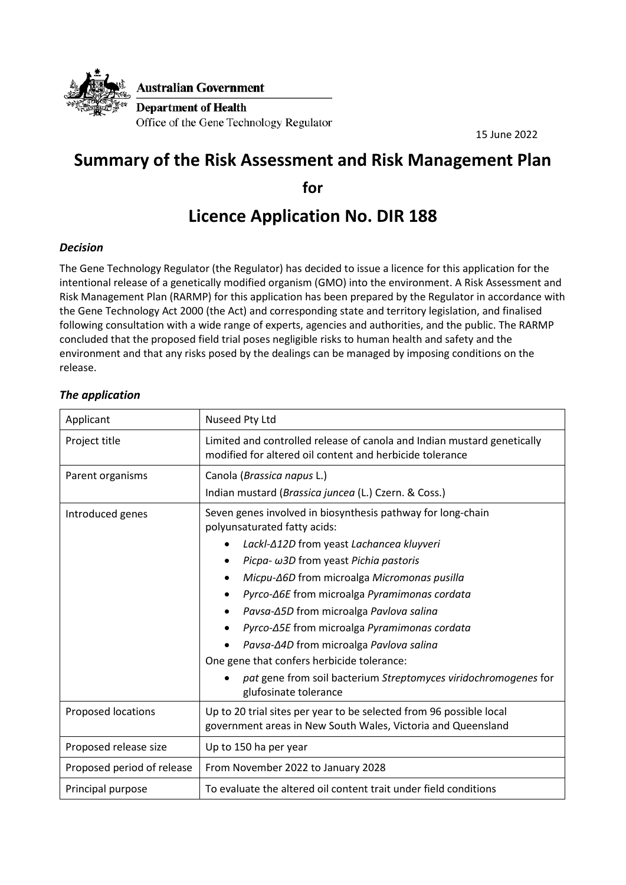

**Australian Government** 

**Department of Health** Office of the Gene Technology Regulator

15 June 2022

## **Summary of the Risk Assessment and Risk Management Plan**

**for**

# **Licence Application No. DIR 188**

#### *Decision*

The Gene Technology Regulator (the Regulator) has decided to issue a licence for this application for the intentional release of a genetically modified organism (GMO) into the environment. A Risk Assessment and Risk Management Plan (RARMP) for this application has been prepared by the Regulator in accordance with the Gene Technology Act 2000 (the Act) and corresponding state and territory legislation, and finalised following consultation with a wide range of experts, agencies and authorities, and the public. The RARMP concluded that the proposed field trial poses negligible risks to human health and safety and the environment and that any risks posed by the dealings can be managed by imposing conditions on the release.

### *The application*

| Applicant                  | Nuseed Pty Ltd                                                                                                                      |
|----------------------------|-------------------------------------------------------------------------------------------------------------------------------------|
| Project title              | Limited and controlled release of canola and Indian mustard genetically<br>modified for altered oil content and herbicide tolerance |
| Parent organisms           | Canola (Brassica napus L.)                                                                                                          |
|                            | Indian mustard (Brassica juncea (L.) Czern. & Coss.)                                                                                |
| Introduced genes           | Seven genes involved in biosynthesis pathway for long-chain<br>polyunsaturated fatty acids:                                         |
|                            | Lackl-A12D from yeast Lachancea kluyveri                                                                                            |
|                            | Picpa- $\omega$ 3D from yeast Pichia pastoris                                                                                       |
|                            | Micpu- $\Delta 6D$ from microalga Micromonas pusilla                                                                                |
|                            | Pyrco-∆6E from microalga Pyramimonas cordata                                                                                        |
|                            | Pavsa- $\Delta$ 5D from microalga Pavlova salina                                                                                    |
|                            | Pyrco-∆5E from microalga Pyramimonas cordata                                                                                        |
|                            | Pavsa-∆4D from microalga Pavlova salina                                                                                             |
|                            | One gene that confers herbicide tolerance:                                                                                          |
|                            | pat gene from soil bacterium Streptomyces viridochromogenes for<br>glufosinate tolerance                                            |
| Proposed locations         | Up to 20 trial sites per year to be selected from 96 possible local<br>government areas in New South Wales, Victoria and Queensland |
| Proposed release size      | Up to 150 ha per year                                                                                                               |
| Proposed period of release | From November 2022 to January 2028                                                                                                  |
| Principal purpose          | To evaluate the altered oil content trait under field conditions                                                                    |